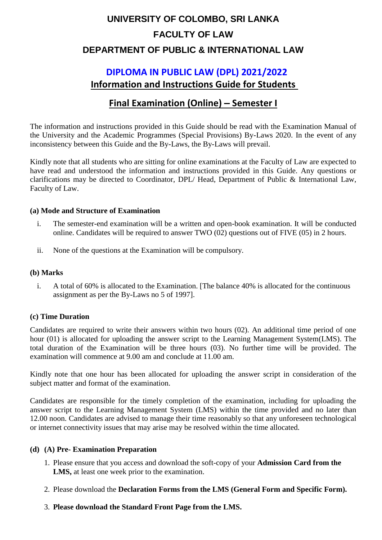# **UNIVERSITY OF COLOMBO, SRI LANKA FACULTY OF LAW DEPARTMENT OF PUBLIC & INTERNATIONAL LAW**

## **DIPLOMA IN PUBLIC LAW (DPL) 2021/2022 Information and Instructions Guide for Students**

## **Final Examination (Online) – Semester I**

The information and instructions provided in this Guide should be read with the Examination Manual of the University and the Academic Programmes (Special Provisions) By-Laws 2020. In the event of any inconsistency between this Guide and the By-Laws, the By-Laws will prevail.

Kindly note that all students who are sitting for online examinations at the Faculty of Law are expected to have read and understood the information and instructions provided in this Guide. Any questions or clarifications may be directed to Coordinator, DPL/ Head, Department of Public & International Law, Faculty of Law.

#### **(a) Mode and Structure of Examination**

- i. The semester-end examination will be a written and open-book examination. It will be conducted online. Candidates will be required to answer TWO (02) questions out of FIVE (05) in 2 hours.
- ii. None of the questions at the Examination will be compulsory.

#### **(b) Marks**

i. A total of 60% is allocated to the Examination. [The balance 40% is allocated for the continuous assignment as per the By-Laws no 5 of 1997].

#### **(c) Time Duration**

Candidates are required to write their answers within two hours (02). An additional time period of one hour (01) is allocated for uploading the answer script to the Learning Management System(LMS). The total duration of the Examination will be three hours (03). No further time will be provided. The examination will commence at 9.00 am and conclude at 11.00 am.

Kindly note that one hour has been allocated for uploading the answer script in consideration of the subject matter and format of the examination.

Candidates are responsible for the timely completion of the examination, including for uploading the answer script to the Learning Management System (LMS) within the time provided and no later than 12.00 noon. Candidates are advised to manage their time reasonably so that any unforeseen technological or internet connectivity issues that may arise may be resolved within the time allocated.

#### **(d) (A) Pre- Examination Preparation**

- 1. Please ensure that you access and download the soft-copy of your **Admission Card from the LMS,** at least one week prior to the examination.
- 2. Please download the **Declaration Forms from the LMS (General Form and Specific Form).**
- 3. **Please download the Standard Front Page from the LMS.**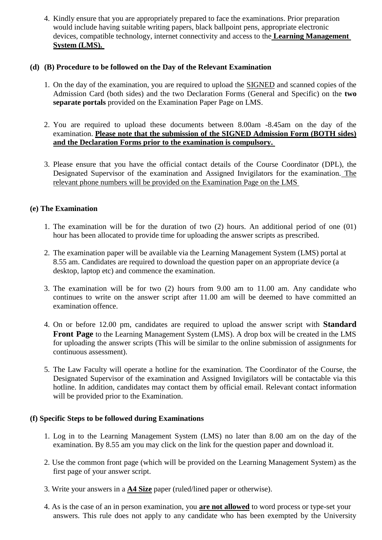4. Kindly ensure that you are appropriately prepared to face the examinations. Prior preparation would include having suitable writing papers, black ballpoint pens, appropriate electronic devices, compatible technology, internet connectivity and access to the **Learning Management System (LMS).** 

#### **(d) (B) Procedure to be followed on the Day of the Relevant Examination**

- 1. On the day of the examination, you are required to upload the SIGNED and scanned copies of the Admission Card (both sides) and the two Declaration Forms (General and Specific) on the **two separate portals** provided on the Examination Paper Page on LMS.
- 2. You are required to upload these documents between 8.00am -8.45am on the day of the examination. **Please note that the submission of the SIGNED Admission Form (BOTH sides) and the Declaration Forms prior to the examination is compulsory.**
- 3. Please ensure that you have the official contact details of the Course Coordinator (DPL), the Designated Supervisor of the examination and Assigned Invigilators for the examination. The relevant phone numbers will be provided on the Examination Page on the LMS

#### **(e) The Examination**

- 1. The examination will be for the duration of two (2) hours. An additional period of one (01) hour has been allocated to provide time for uploading the answer scripts as prescribed.
- 2. The examination paper will be available via the Learning Management System (LMS) portal at 8.55 am. Candidates are required to download the question paper on an appropriate device (a desktop, laptop etc) and commence the examination.
- 3. The examination will be for two (2) hours from 9.00 am to 11.00 am. Any candidate who continues to write on the answer script after 11.00 am will be deemed to have committed an examination offence.
- 4. On or before 12.00 pm, candidates are required to upload the answer script with **Standard Front Page** to the Learning Management System (LMS). A drop box will be created in the LMS for uploading the answer scripts (This will be similar to the online submission of assignments for continuous assessment).
- 5. The Law Faculty will operate a hotline for the examination. The Coordinator of the Course, the Designated Supervisor of the examination and Assigned Invigilators will be contactable via this hotline. In addition, candidates may contact them by official email. Relevant contact information will be provided prior to the Examination.

#### **(f) Specific Steps to be followed during Examinations**

- 1. Log in to the Learning Management System (LMS) no later than 8.00 am on the day of the examination. By 8.55 am you may click on the link for the question paper and download it.
- 2. Use the common front page (which will be provided on the Learning Management System) as the first page of your answer script.
- 3. Write your answers in a **A4 Size** paper (ruled/lined paper or otherwise).
- 4. As is the case of an in person examination, you **are not allowed** to word process or type-set your answers. This rule does not apply to any candidate who has been exempted by the University